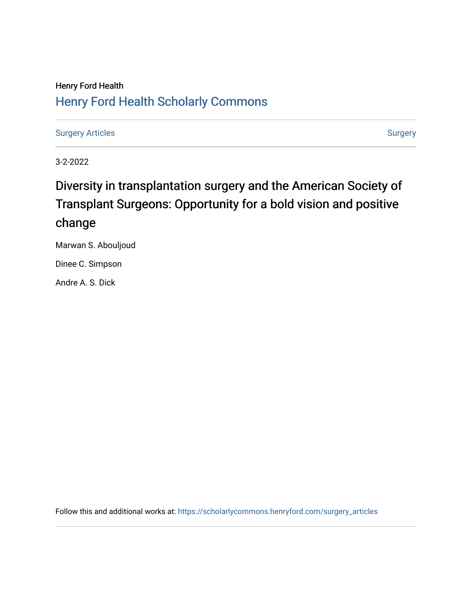# Henry Ford Health [Henry Ford Health Scholarly Commons](https://scholarlycommons.henryford.com/)

[Surgery Articles](https://scholarlycommons.henryford.com/surgery_articles) [Surgery](https://scholarlycommons.henryford.com/surgery) Articles

3-2-2022

# Diversity in transplantation surgery and the American Society of Transplant Surgeons: Opportunity for a bold vision and positive change

Marwan S. Abouljoud

Dinee C. Simpson

Andre A. S. Dick

Follow this and additional works at: [https://scholarlycommons.henryford.com/surgery\\_articles](https://scholarlycommons.henryford.com/surgery_articles?utm_source=scholarlycommons.henryford.com%2Fsurgery_articles%2F577&utm_medium=PDF&utm_campaign=PDFCoverPages)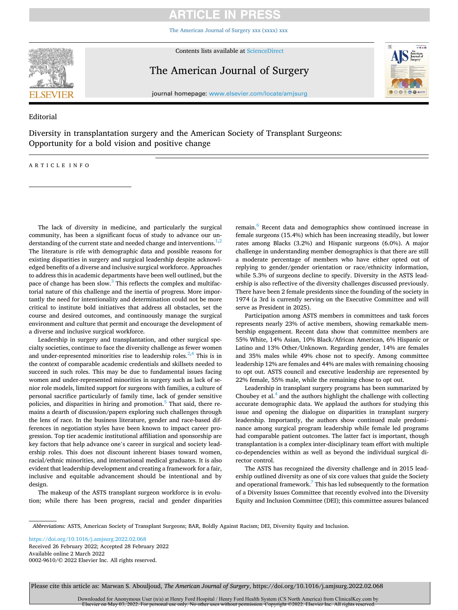## **ARTICLE IN PRESS**

[The American Journal of Surgery xxx \(xxxx\) xxx](https://doi.org/10.1016/j.amjsurg.2022.02.068)

<span id="page-1-0"></span>

Contents lists available at [ScienceDirect](www.sciencedirect.com/science/journal/00029610)

The American Journal of Surgery



journal homepage: [www.elsevier.com/locate/amjsurg](https://www.elsevier.com/locate/amjsurg) 

Editorial

Diversity in transplantation surgery and the American Society of Transplant Surgeons: Opportunity for a bold vision and positive change

ARTICLE INFO

The lack of diversity in medicine, and particularly the surgical community, has been a significant focus of study to advance our understanding of the current state and needed change and interventions. $1,2$ The literature is rife with demographic data and possible reasons for existing disparities in surgery and surgical leadership despite acknowledged benefits of a diverse and inclusive surgical workforce. Approaches to address this in academic departments have been well outlined, but the pace of change has been slow. $3$  This reflects the complex and multifactorial nature of this challenge and the inertia of progress. More importantly the need for intentionality and determination could not be more critical to institute bold initiatives that address all obstacles, set the course and desired outcomes, and continuously manage the surgical environment and culture that permit and encourage the development of a diverse and inclusive surgical workforce.

Leadership in surgery and transplantation, and other surgical specialty societies, continue to face the diversity challenge as fewer women and under-represented minorities rise to leadership roles. $2,4$  This is in the context of comparable academic credentials and skillsets needed to succeed in such roles. This may be due to fundamental issues facing women and under-represented minorities in surgery such as lack of senior role models, limited support for surgeons with families, a culture of personal sacrifice particularly of family time, lack of gender sensitive policies, and disparities in hiring and promotion.<sup>5</sup> That said, there remains a dearth of discussion/papers exploring such challenges through the lens of race. In the business literature, gender and race-based differences in negotiation styles have been known to impact career progression. Top tier academic institutional affiliation and sponsorship are key factors that help advance one's career in surgical and society leadership roles. This does not discount inherent biases toward women, racial/ethnic minorities, and international medical graduates. It is also evident that leadership development and creating a framework for a fair, inclusive and equitable advancement should be intentional and by design.

The makeup of the ASTS transplant surgeon workforce is in evolution; while there has been progress, racial and gender disparities

remain.<sup>6</sup> Recent data and demographics show continued increase in female surgeons (15.4%) which has been increasing steadily, but lower rates among Blacks (3.2%) and Hispanic surgeons (6.0%). A major challenge in understanding member demographics is that there are still a moderate percentage of members who have either opted out of replying to gender/gender orientation or race/ethnicity information, while 5.3% of surgeons decline to specify. Diversity in the ASTS leadership is also reflective of the diversity challenges discussed previously. There have been 2 female presidents since the founding of the society in 1974 (a 3rd is currently serving on the Executive Committee and will serve as President in 2025).

Participation among ASTS members in committees and task forces represents nearly 23% of active members, showing remarkable membership engagement. Recent data show that committee members are 55% White, 14% Asian, 10% Black/African American, 6% Hispanic or Latino and 13% Other/Unknown. Regarding gender, 14% are females and 35% males while 49% chose not to specify. Among committee leadership 12% are females and 44% are males with remaining choosing to opt out. ASTS council and executive leadership are represented by 22% female, 55% male, while the remaining chose to opt out.

Leadership in transplant surgery programs has been summarized by Choubey et al. $<sup>4</sup>$  and the authors highlight the challenge with collecting</sup> accurate demographic data. We applaud the authors for studying this issue and opening the dialogue on disparities in transplant surgery leadership. Importantly, the authors show continued male predominance among surgical program leadership while female led programs had comparable patient outcomes. The latter fact is important, though transplantation is a complex inter-disciplinary team effort with multiple co-dependencies within as well as beyond the individual surgical director control.

The ASTS has recognized the diversity challenge and in 2015 leadership outlined diversity as one of six core values that guide the Society and operational framework.<sup>7</sup> This has led subsequently to the formation of a Diversity Issues Committee that recently evolved into the Diversity Equity and Inclusion Committee (DEI); this committee assures balanced

*Abbreviations:* ASTS, American Society of Transplant Surgeons; BAR, Boldly Against Racism; DEI, Diversity Equity and Inclusion.

Available online 2 March 2022 0002-9610/© 2022 Elsevier Inc. All rights reserved. <https://doi.org/10.1016/j.amjsurg.2022.02.068> Received 26 February 2022; Accepted 28 February 2022

Please cite this article as: Marwan S. Abouljoud, *The American Journal of Surgery*, https://doi.org/10.1016/j.amjsurg.2022.02.068